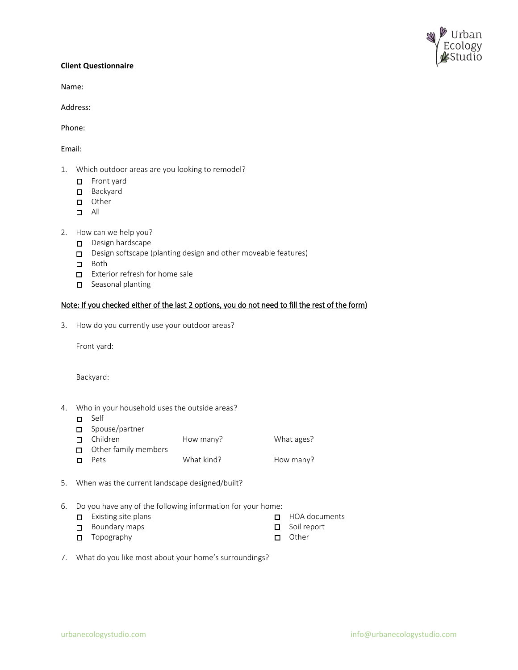

## **Client Questionnaire**

Name:

Address:

Phone:

Email:

- 1. Which outdoor areas are you looking to remodel?
	- Front yard
	- □ Backyard
	- **D** Other
	- $\Box$  All
- 2. How can we help you?
	- $\Box$  Design hardscape
	- D Design softscape (planting design and other moveable features)
	- Both
	- $\Box$  Exterior refresh for home sale
	- $\Box$  Seasonal planting

## Note: If you checked either of the last 2 options, you do not need to fill the rest of the form)

3. How do you currently use your outdoor areas?

Front yard:

Backyard:

- 4. Who in your household uses the outside areas?
	- □ Self
	- Spouse/partner<br> **O** Children
	- How many? What ages?  $\Box$  Other family members □ Pets What kind? How many?
- 5. When was the current landscape designed/built?
- 6. Do you have any of the following information for your home:
	- $\square$  Existing site plans
	- Boundary maps
	- $\Box$  Topography
- HOA documents
- Soil report
- **D** Other
- 7. What do you like most about your home's surroundings?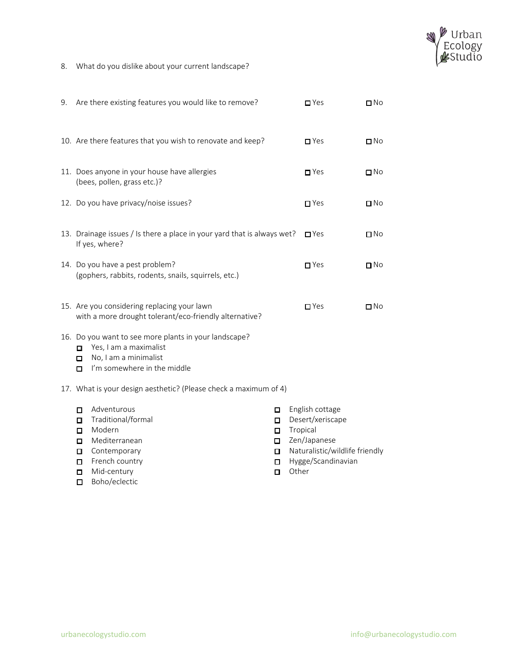

8. What do you dislike about your current landscape?

| 9. | Are there existing features you would like to remove?                                                                                                       | $\Box$ Yes                                                                                        | $\Box$ No    |  |
|----|-------------------------------------------------------------------------------------------------------------------------------------------------------------|---------------------------------------------------------------------------------------------------|--------------|--|
|    | 10. Are there features that you wish to renovate and keep?                                                                                                  | $\Box$ Yes                                                                                        | $\square$ No |  |
|    | 11. Does anyone in your house have allergies<br>(bees, pollen, grass etc.)?                                                                                 | $\blacksquare$ Yes                                                                                | $\Box$ No    |  |
|    | 12. Do you have privacy/noise issues?                                                                                                                       | $\blacksquare$ Yes                                                                                | $\square$ No |  |
|    | 13. Drainage issues / Is there a place in your yard that is always wet?<br>If yes, where?                                                                   | $\Box$ Yes                                                                                        | $\square$ No |  |
|    | 14. Do you have a pest problem?<br>(gophers, rabbits, rodents, snails, squirrels, etc.)                                                                     | $\Box$ Yes                                                                                        | $\Box$ No    |  |
|    | 15. Are you considering replacing your lawn<br>with a more drought tolerant/eco-friendly alternative?                                                       | $\Box$ Yes                                                                                        | $\Box$ No    |  |
|    | 16. Do you want to see more plants in your landscape?<br>Yes, I am a maximalist<br>$\Box$<br>No, I am a minimalist<br>□<br>I'm somewhere in the middle<br>□ |                                                                                                   |              |  |
|    | 17. What is your design aesthetic? (Please check a maximum of 4)                                                                                            |                                                                                                   |              |  |
|    | Adventurous<br>□<br>□<br>Traditional/formal<br>О<br>О<br>Modern<br>о<br>$\Box$<br>Mediterranean<br>0<br>□<br>Contemporary<br>О<br>О                         | English cottage<br>Desert/xeriscape<br>Tropical<br>Zen/Japanese<br>Naturalistic/wildlife friendly |              |  |

- French country
- **n** Mid-century
- □ Boho/eclectic
- Hygge/Scandinavian
- **Other**